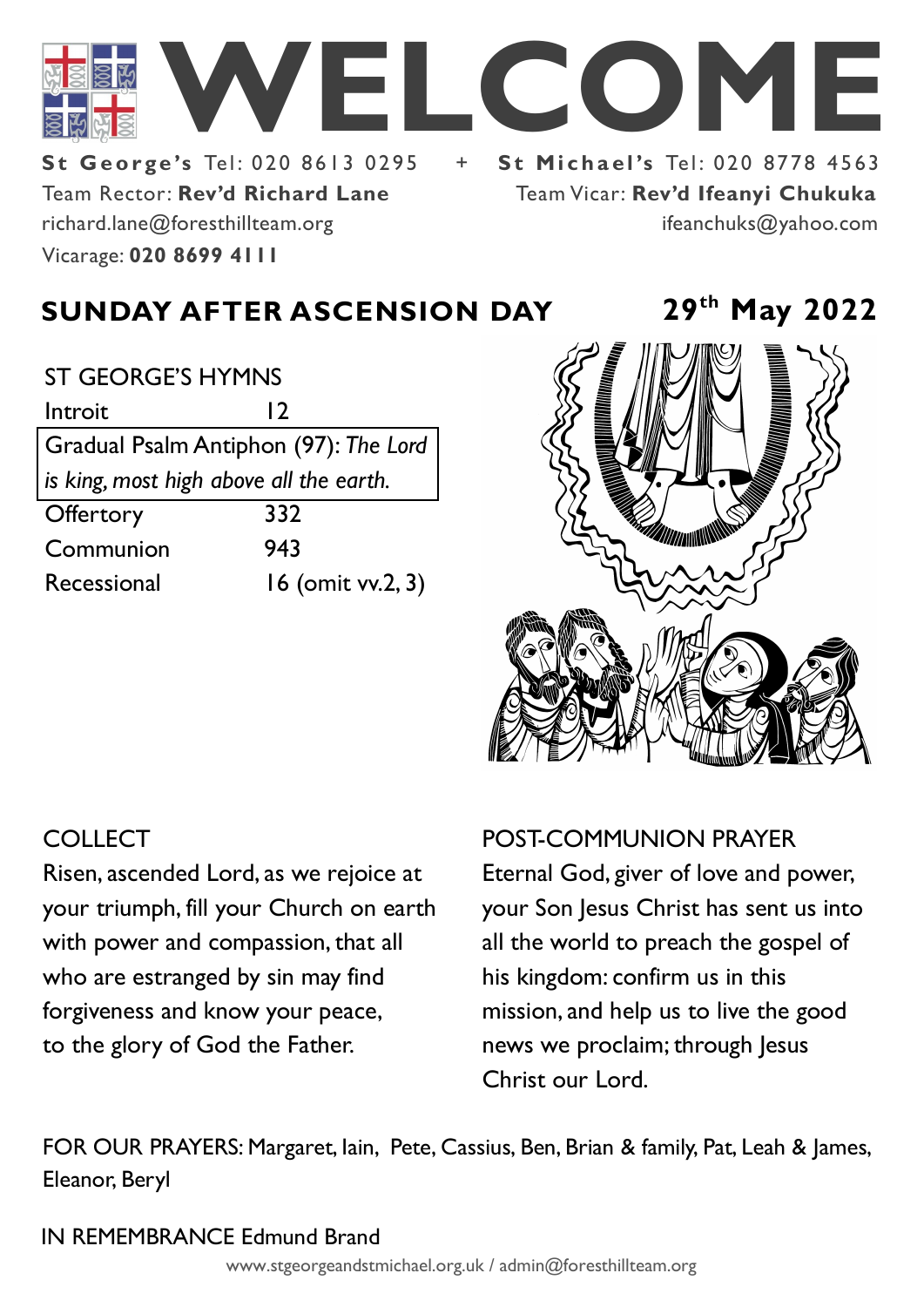

Team Rector: **Rev'd Richard Lane St George's Tel: 020 8613 0295** Vicarage: **020 8699 4111**  richard.lane@foresthillteam.org

Team Vicar: **Rev'd Ifeanyi Chukuka** ifeanchuks@yahoo.com

# **SUNDAY AFTER ASCENSION DAY 29th May 2022**

### ST GEORGE'S HYMNS

Introit 12 Gradual Psalm Antiphon (97): *The Lord is king, most high above all the earth.*  Offertory 332 Communion 943 Recessional 16 (omit vv.2, 3)



## **COLLECT**

Risen, ascended Lord, as we rejoice at your triumph, fill your Church on earth with power and compassion, that all who are estranged by sin may find forgiveness and know your peace, to the glory of God the Father.

## POST-COMMUNION PRAYER

Eternal God, giver of love and power, your Son Jesus Christ has sent us into all the world to preach the gospel of his kingdom: confirm us in this mission, and help us to live the good news we proclaim; through Jesus Christ our Lord.

FOR OUR PRAYERS: Margaret, Iain, Pete, Cassius, Ben, Brian & family, Pat, Leah & James, Eleanor, Beryl

## IN REMEMBRANCE Edmund Brand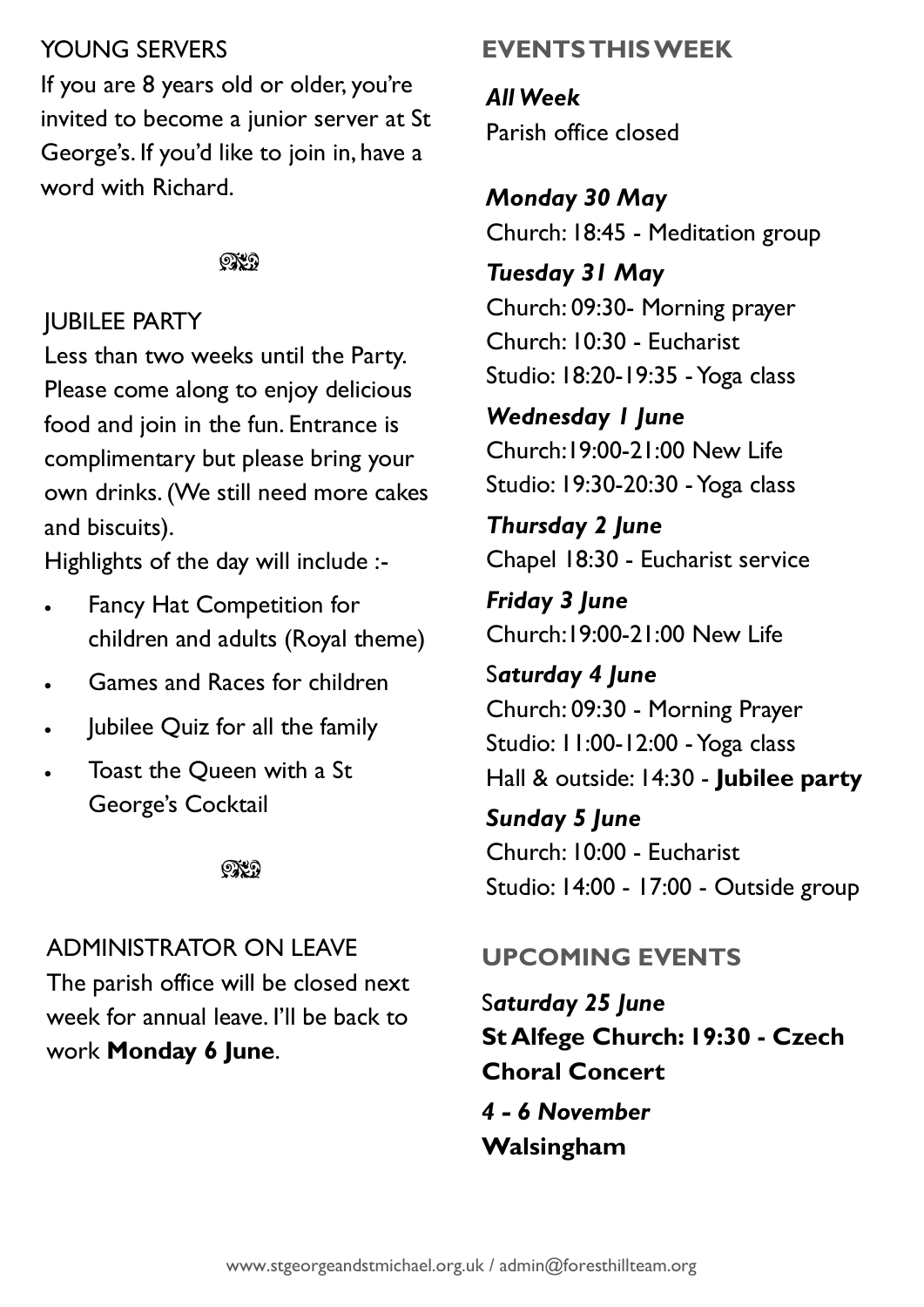# YOUNG SERVERS

If you are 8 years old or older, you're invited to become a junior server at St George's. If you'd like to join in, have a word with Richard.

### $\mathbb{C}\mathbb{C}$

# JUBILEE PARTY

Less than two weeks until the Party. Please come along to enjoy delicious food and join in the fun. Entrance is complimentary but please bring your own drinks. (We still need more cakes and biscuits).

Highlights of the day will include :-

- Fancy Hat Competition for children and adults (Royal theme)
- Games and Races for children
- Jubilee Quiz for all the family
- Toast the Queen with a St George's Cocktail

೧೪೧

# ADMINISTRATOR ON LEAVE

The parish office will be closed next week for annual leave. I'll be back to work **Monday 6 June**.

# **EVENTS THIS WEEK**

*All Week* Parish office closed

*Monday 30 May* Church: 18:45 - Meditation group

*Tuesday 31 May* Church: 09:30- Morning prayer Church: 10:30 - Eucharist Studio: 18:20-19:35 -Yoga class

*Wednesday 1 June* Church:19:00-21:00 New Life Studio: 19:30-20:30 -Yoga class

*Thursday 2 June* Chapel 18:30 - Eucharist service

*Friday 3 June* Church:19:00-21:00 New Life

S*aturday 4 June* Church: 09:30 - Morning Prayer Studio: 11:00-12:00 -Yoga class Hall & outside: 14:30 - **Jubilee party**

*Sunday 5 June* Church: 10:00 - Eucharist Studio: 14:00 - 17:00 - Outside group

# **UPCOMING EVENTS**

S*aturday 25 June* **St Alfege Church: 19:30 - Czech Choral Concert** *4 - 6 November*  **Walsingham**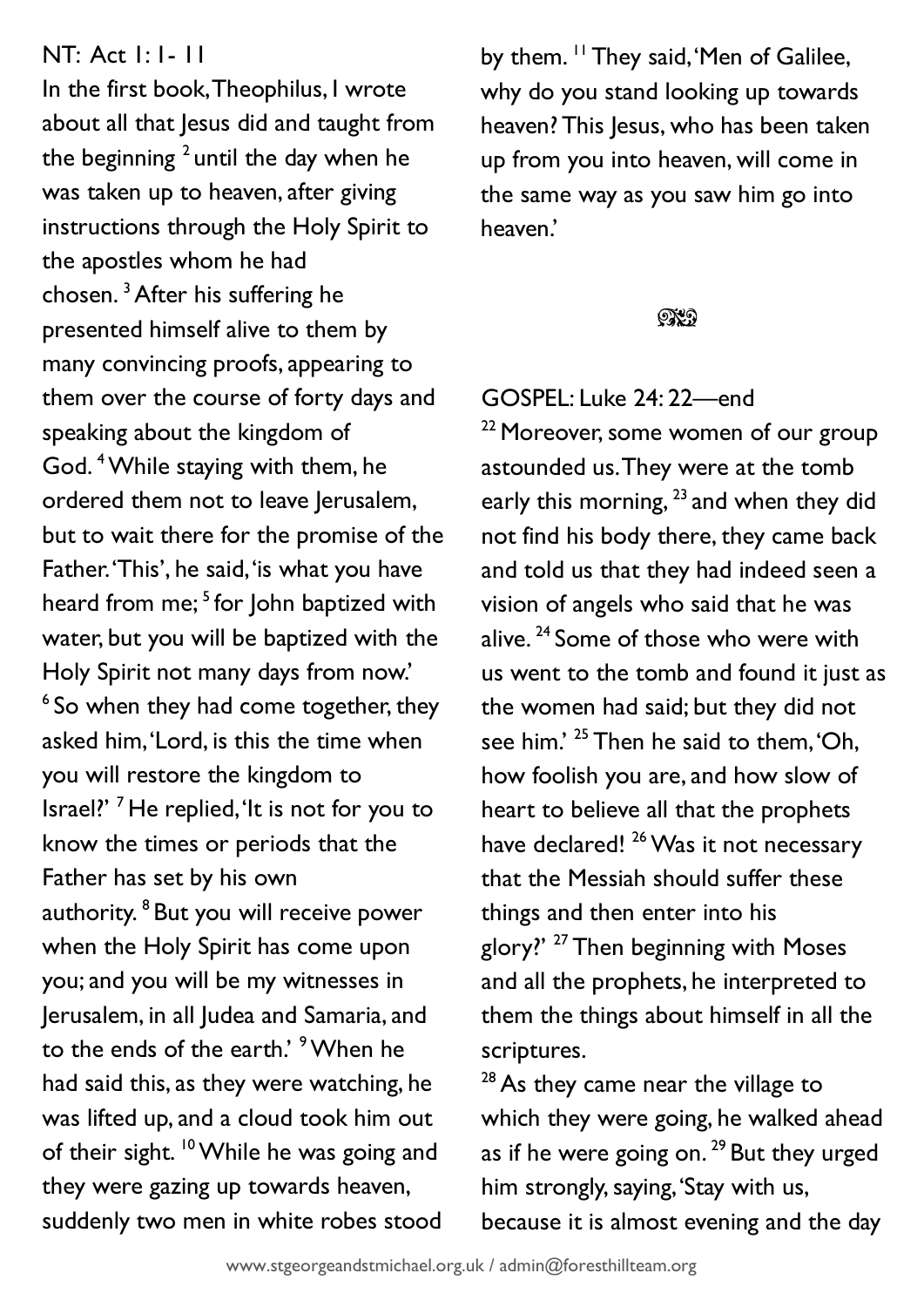## NT: Act 1: 1- 11

In the first book, Theophilus, I wrote about all that Jesus did and taught from the beginning  $^2$  until the day when he was taken up to heaven, after giving instructions through the Holy Spirit to the apostles whom he had chosen. <sup>3</sup>After his suffering he presented himself alive to them by many convincing proofs, appearing to them over the course of forty days and speaking about the kingdom of God. <sup>4</sup>While staying with them, he ordered them not to leave Jerusalem, but to wait there for the promise of the Father. 'This', he said, 'is what you have heard from me; <sup>5</sup> for John baptized with water, but you will be baptized with the Holy Spirit not many days from now.' <sup>6</sup> So when they had come together, they asked him, 'Lord, is this the time when you will restore the kingdom to Israel?' <sup>7</sup> He replied, 'It is not for you to know the times or periods that the Father has set by his own authority. <sup>8</sup> But you will receive power when the Holy Spirit has come upon you; and you will be my witnesses in Jerusalem, in all Judea and Samaria, and to the ends of the earth.' <sup>9</sup> When he had said this, as they were watching, he was lifted up, and a cloud took him out of their sight. <sup>10</sup> While he was going and they were gazing up towards heaven, suddenly two men in white robes stood

by them. <sup>11</sup> They said, 'Men of Galilee, why do you stand looking up towards heaven? This Jesus, who has been taken up from you into heaven, will come in the same way as you saw him go into heaven.'

#### ೧೪೧

### GOSPEL: Luke 24: 22—end

<sup>22</sup> Moreover, some women of our group astounded us. They were at the tomb early this morning,  $^{23}$  and when they did not find his body there, they came back and told us that they had indeed seen a vision of angels who said that he was alive.<sup>24</sup> Some of those who were with us went to the tomb and found it just as the women had said; but they did not see him.' <sup>25</sup> Then he said to them, 'Oh, how foolish you are, and how slow of heart to believe all that the prophets have declared!<sup>26</sup> Was it not necessary that the Messiah should suffer these things and then enter into his glory?' <sup>27</sup> Then beginning with Moses and all the prophets, he interpreted to them the things about himself in all the scriptures.

 $28$  As they came near the village to which they were going, he walked ahead as if he were going on.  $29$  But they urged him strongly, saying, 'Stay with us, because it is almost evening and the day